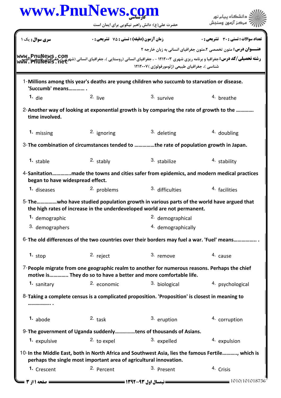|                                  | www.PnuNews.com<br>حضرت علی(ع): دانش راهبر نیکویی برای ایمان است   |                                                                                                                                                                   | دانشگاه پیام نور<br>مركز آزمون وسنجش                                                                                                                                                                                                             |  |
|----------------------------------|--------------------------------------------------------------------|-------------------------------------------------------------------------------------------------------------------------------------------------------------------|--------------------------------------------------------------------------------------------------------------------------------------------------------------------------------------------------------------------------------------------------|--|
| <b>سری سوال :</b> یک ۱           | زمان آزمون (دقیقه) : تستی : 75 ٪ تشریحی : 0                        |                                                                                                                                                                   | <b>تعداد سوالات : تستي : 30 ٪ تشريحي : 0</b>                                                                                                                                                                                                     |  |
|                                  |                                                                    |                                                                                                                                                                   | <b>عنـــوان درس:</b> متون تخصصی ۲،متون جغرافیای انسانی به زبان خارجه ۲                                                                                                                                                                           |  |
|                                  |                                                                    | شناسي )، جغرافياي طبيعي (ژئومورفولوژي )١٢١٢٠٠٧                                                                                                                    | <b>رشته تحصیلی/کد درس:</b> جغرافیا و برنامه ریزی شهری ۱۲۱۲۰۰۳ - ، جغرافیای انسانی (روستایی )، جغرافیای انسانی (شهرییکی جمعهایی استان<br>مستقل استان استان استان استان استان استان استان استانی (روستایی )، جغرافیای انسانی (شهری) م <sup>ح</sup> |  |
| 'Succumb' means                  |                                                                    | 1-Millions among this year's deaths are young children who succumb to starvation or disease.                                                                      |                                                                                                                                                                                                                                                  |  |
| $1.$ die                         | $2.$ live                                                          | 3. survive                                                                                                                                                        | 4. breathe                                                                                                                                                                                                                                       |  |
| time involved.                   |                                                                    |                                                                                                                                                                   | 2-Another way of looking at exponential growth is by comparing the rate of growth to the                                                                                                                                                         |  |
| 1. missing                       | 2. ignoring                                                        | 3. deleting                                                                                                                                                       | 4. doubling                                                                                                                                                                                                                                      |  |
|                                  |                                                                    | 3- The combination of circumstances tended to the rate of population growth in Japan.                                                                             |                                                                                                                                                                                                                                                  |  |
| $1.$ stable                      | $2.$ stably                                                        | 3. stabilize                                                                                                                                                      | 4. stability                                                                                                                                                                                                                                     |  |
| began to have widespread effect. |                                                                    |                                                                                                                                                                   | 4-Sanitationmade the towns and cities safer from epidemics, and modern medical practices                                                                                                                                                         |  |
| 1. diseases                      | 2. problems                                                        | 3. difficulties                                                                                                                                                   | 4. facilities                                                                                                                                                                                                                                    |  |
|                                  |                                                                    | the high rates of increase in the underdeveloped world are not permanent.                                                                                         | 5-The   who have studied population growth in various parts of the world have argued that                                                                                                                                                        |  |
| 1. demographic                   |                                                                    | 2. demographical                                                                                                                                                  |                                                                                                                                                                                                                                                  |  |
| 3. demographers                  |                                                                    | 4. demographically                                                                                                                                                |                                                                                                                                                                                                                                                  |  |
|                                  |                                                                    |                                                                                                                                                                   | 6-The old differences of the two countries over their borders may fuel a war. 'Fuel' means                                                                                                                                                       |  |
| 1. $stop$                        | 2. reject                                                          | 3. remove                                                                                                                                                         | 4. cause                                                                                                                                                                                                                                         |  |
|                                  |                                                                    | 7-People migrate from one geographic realm to another for numerous reasons. Perhaps the chief<br>motive is They do so to have a better and more comfortable life. |                                                                                                                                                                                                                                                  |  |
| 1. sanitary                      | 2. economic                                                        | 3. biological                                                                                                                                                     | 4. psychological                                                                                                                                                                                                                                 |  |
|                                  |                                                                    | 8-Taking a complete census is a complicated proposition. 'Proposition' is closest in meaning to                                                                   |                                                                                                                                                                                                                                                  |  |
| $1.$ abode                       | $2.$ task                                                          | 3. eruption                                                                                                                                                       | 4. corruption                                                                                                                                                                                                                                    |  |
|                                  |                                                                    | 9- The government of Uganda suddenlytens of thousands of Asians.                                                                                                  |                                                                                                                                                                                                                                                  |  |
|                                  | 2. to expel                                                        | 3. expelled                                                                                                                                                       | 4. expulsion                                                                                                                                                                                                                                     |  |
| 1. expulsive                     |                                                                    |                                                                                                                                                                   |                                                                                                                                                                                                                                                  |  |
|                                  | perhaps the single most important area of agricultural innovation. |                                                                                                                                                                   | 10-In the Middle East, both in North Africa and Southwest Asia, lies the famous Fertile, which is                                                                                                                                                |  |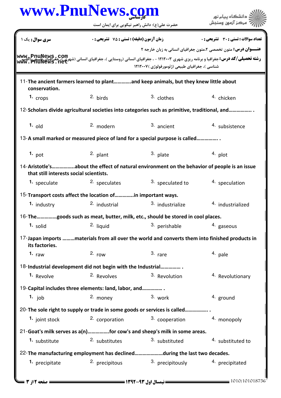|                                         | www.PnuNews.com                                                                                 |                                                 | دانشگاه بیام نور                                                                                                                                                                                                                        |  |
|-----------------------------------------|-------------------------------------------------------------------------------------------------|-------------------------------------------------|-----------------------------------------------------------------------------------------------------------------------------------------------------------------------------------------------------------------------------------------|--|
|                                         | حضرت علی(ع): دانش راهبر نیکویی برای ایمان است                                                   |                                                 | مركز آزمون وسنجش                                                                                                                                                                                                                        |  |
| سری سوال : یک ۱                         | <b>زمان آزمون (دقیقه) : تستی : 75 تشریحی: 0</b>                                                 |                                                 | <b>تعداد سوالات : تستی : 30 ٪ تشریحی : 0</b>                                                                                                                                                                                            |  |
|                                         |                                                                                                 |                                                 | <b>عنـــوان درس:</b> متون تخصصی ۲،متون جغرافیای انسانی به زبان خارجه ۲                                                                                                                                                                  |  |
|                                         |                                                                                                 | شناسی )، جغرافیای طبیعی (ژئومورفولوژی ) ۱۲۱۲۰۰۷ | <b>رشته تحصیلی/کد درس: جغرافیا و برنامه ریزی شهری ۱۲۱۲۰۰۳ - ، جغرافیای انسانی (روستایی )، جغرافیای انسانی (شهری) محمد می PnuNews ، COM<br/>- استفاقات المیلی (کد درس: جغرافیا و برنامه ریزی شهری ۱۲۱۲۰۰۳ - ، جغرافیای انسانی (می بر</b> |  |
|                                         | 11-The ancient farmers learned to plantand keep animals, but they knew little about             |                                                 |                                                                                                                                                                                                                                         |  |
| conservation.                           |                                                                                                 |                                                 |                                                                                                                                                                                                                                         |  |
| 1. $\frac{1}{2}$                        | 2. birds                                                                                        | 3. clothes                                      | <sup>4.</sup> chicken                                                                                                                                                                                                                   |  |
|                                         | 12-Scholars divide agricultural societies into categories such as primitive, traditional, and   |                                                 |                                                                                                                                                                                                                                         |  |
| $1.$ old                                | 2. modern                                                                                       | 3. ancient                                      | 4. subsistence                                                                                                                                                                                                                          |  |
|                                         | 13-A small marked or measured piece of land for a special purpose is called                     |                                                 |                                                                                                                                                                                                                                         |  |
| 1. pot                                  | 2. plant                                                                                        | 3. plate                                        | $4.$ plot                                                                                                                                                                                                                               |  |
| that still interests social scientists. | 14-Aristotle'sabout the effect of natural environment on the behavior of people is an issue     |                                                 |                                                                                                                                                                                                                                         |  |
| <sup>1.</sup> speculate                 | 2. speculates                                                                                   | 3. speculated to                                | 4. speculation                                                                                                                                                                                                                          |  |
|                                         | 15-Transport costs affect the location ofin important ways.                                     |                                                 |                                                                                                                                                                                                                                         |  |
| 1. industry                             | 2. industrial                                                                                   | 3. industrialize                                | 4. industrialized                                                                                                                                                                                                                       |  |
|                                         | <sup>16-</sup> The……………goods such as meat, butter, milk, etc., should be stored in cool places. |                                                 |                                                                                                                                                                                                                                         |  |
| 1. solid                                | 2. liquid                                                                                       | 3. perishable                                   | 4. gaseous                                                                                                                                                                                                                              |  |
| its factories.                          | 17-Japan imports materials from all over the world and converts them into finished products in  |                                                 |                                                                                                                                                                                                                                         |  |
| 1. $raw$                                | 2. row                                                                                          | $3.$ rare                                       | 4. pale                                                                                                                                                                                                                                 |  |
|                                         | 18-Industrial development did not begin with the Industrial                                     |                                                 |                                                                                                                                                                                                                                         |  |
| <sup>1.</sup> Revolve                   | <sup>2.</sup> Revolves                                                                          | 3. Revolution                                   | <sup>4.</sup> Revolutionary                                                                                                                                                                                                             |  |
|                                         | 19-Capital includes three elements: land, labor, and                                            |                                                 |                                                                                                                                                                                                                                         |  |
| 1. job                                  | 2. money                                                                                        | 3. work                                         | 4. ground                                                                                                                                                                                                                               |  |
|                                         | 20-The sole right to supply or trade in some goods or services is called                        |                                                 |                                                                                                                                                                                                                                         |  |
| 1. joint stock                          | 2. corporation                                                                                  | 3. cooperation                                  | 4. monopoly                                                                                                                                                                                                                             |  |
|                                         | 21-Goat's milk serves as a(n)for cow's and sheep's milk in some areas.                          |                                                 |                                                                                                                                                                                                                                         |  |
| 1. substitute                           | 2. substitutes                                                                                  | 3. substituted                                  | 4. substituted to                                                                                                                                                                                                                       |  |
|                                         | 22-The manufacturing employment has declinedduring the last two decades.                        |                                                 |                                                                                                                                                                                                                                         |  |
| 1. precipitate                          | 2. precipitous                                                                                  | 3. precipitously                                | 4. precipitated                                                                                                                                                                                                                         |  |